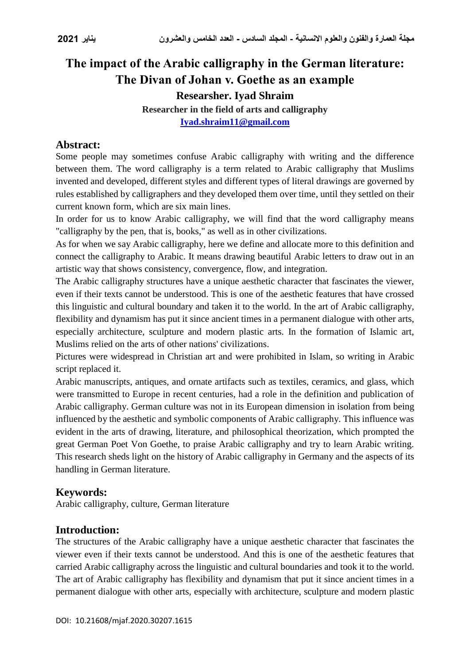# **The impact of the Arabic calligraphy in the German literature: The Divan of Johan v. Goethe as an example**

**Researsher. Iyad Shraim**

**Researcher in the field of arts and calligraphy [Iyad.shraim11@gmail.com](mailto:Iyad.shraim11@gmail.com)**

## **Abstract:**

Some people may sometimes confuse Arabic calligraphy with writing and the difference between them. The word calligraphy is a term related to Arabic calligraphy that Muslims invented and developed, different styles and different types of literal drawings are governed by rules established by calligraphers and they developed them over time, until they settled on their current known form, which are six main lines.

In order for us to know Arabic calligraphy, we will find that the word calligraphy means "calligraphy by the pen, that is, books," as well as in other civilizations.

As for when we say Arabic calligraphy, here we define and allocate more to this definition and connect the calligraphy to Arabic. It means drawing beautiful Arabic letters to draw out in an artistic way that shows consistency, convergence, flow, and integration.

The Arabic calligraphy structures have a unique aesthetic character that fascinates the viewer, even if their texts cannot be understood. This is one of the aesthetic features that have crossed this linguistic and cultural boundary and taken it to the world. In the art of Arabic calligraphy, flexibility and dynamism has put it since ancient times in a permanent dialogue with other arts, especially architecture, sculpture and modern plastic arts. In the formation of Islamic art, Muslims relied on the arts of other nations' civilizations.

Pictures were widespread in Christian art and were prohibited in Islam, so writing in Arabic script replaced it.

Arabic manuscripts, antiques, and ornate artifacts such as textiles, ceramics, and glass, which were transmitted to Europe in recent centuries, had a role in the definition and publication of Arabic calligraphy. German culture was not in its European dimension in isolation from being influenced by the aesthetic and symbolic components of Arabic calligraphy. This influence was evident in the arts of drawing, literature, and philosophical theorization, which prompted the great German Poet Von Goethe, to praise Arabic calligraphy and try to learn Arabic writing. This research sheds light on the history of Arabic calligraphy in Germany and the aspects of its handling in German literature.

### **Keywords:**

Arabic calligraphy, culture, German literature

### **Introduction:**

The structures of the Arabic calligraphy have a unique aesthetic character that fascinates the viewer even if their texts cannot be understood. And this is one of the aesthetic features that carried Arabic calligraphy across the linguistic and cultural boundaries and took it to the world. The art of Arabic calligraphy has flexibility and dynamism that put it since ancient times in a permanent dialogue with other arts, especially with architecture, sculpture and modern plastic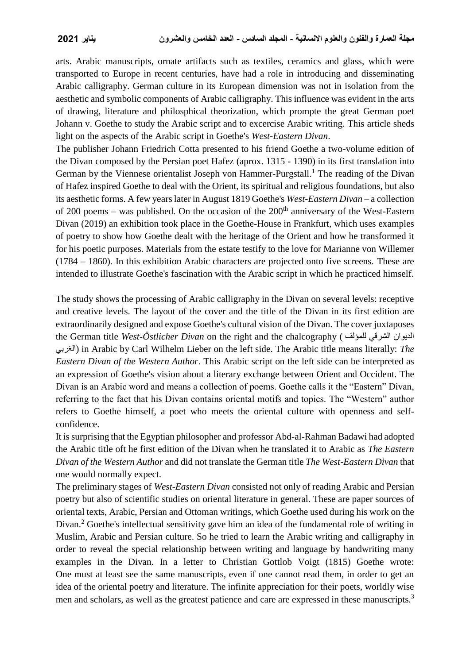arts. Arabic manuscripts, ornate artifacts such as textiles, ceramics and glass, which were transported to Europe in recent centuries, have had a role in introducing and disseminating Arabic calligraphy. German culture in its European dimension was not in isolation from the aesthetic and symbolic components of Arabic calligraphy. This influence was evident in the arts of drawing, literature and philosphical theorization, which prompte the great German poet Johann v. Goethe to study the Arabic script and to excercise Arabic writing. This article sheds light on the aspects of the Arabic script in Goethe's *West-Eastern Divan*.

The publisher Johann Friedrich Cotta presented to his friend Goethe a two-volume edition of the Divan composed by the Persian poet Hafez (aprox. 1315 - 1390) in its first translation into German by the Viennese orientalist Joseph von Hammer-Purgstall.<sup>1</sup> The reading of the Divan of Hafez inspired Goethe to deal with the Orient, its spiritual and religious foundations, but also its aesthetic forms. A few years later in August 1819 Goethe's *West-Eastern Divan* – a collection of 200 poems – was published. On the occasion of the  $200<sup>th</sup>$  anniversary of the West-Eastern Divan (2019) an exhibition took place in the Goethe-House in Frankfurt, which uses examples of poetry to show how Goethe dealt with the heritage of the Orient and how he transformed it for his poetic purposes. Materials from the estate testify to the love for Marianne von Willemer (1784 – 1860). In this exhibition Arabic characters are projected onto five screens. These are intended to illustrate Goethe's fascination with the Arabic script in which he practiced himself.

The study shows the processing of Arabic calligraphy in the Divan on several levels: receptive and creative levels. The layout of the cover and the title of the Divan in its first edition are extraordinarily designed and expose Goethe's cultural vision of the Divan. The cover juxtaposes the German title *West-Östlicher Divan* on the right and the chalcography ( للمؤلف الشرقي الديوان الغربي (in Arabic by Carl Wilhelm Lieber on the left side. The Arabic title means literally: *The Eastern Divan of the Western Author*. This Arabic script on the left side can be interpreted as an expression of Goethe's vision about a literary exchange between Orient and Occident. The Divan is an Arabic word and means a collection of poems. Goethe calls it the "Eastern" Divan, referring to the fact that his Divan contains oriental motifs and topics. The "Western" author refers to Goethe himself, a poet who meets the oriental culture with openness and selfconfidence.

It is surprising that the Egyptian philosopher and professor Abd-al-Rahman Badawi had adopted the Arabic title oft he first edition of the Divan when he translated it to Arabic as *The Eastern Divan of the Western Author* and did not translate the German title *The West-Eastern Divan* that one would normally expect.

The preliminary stages of *West-Eastern Divan* consisted not only of reading Arabic and Persian poetry but also of scientific studies on oriental literature in general. These are paper sources of oriental texts, Arabic, Persian and Ottoman writings, which Goethe used during his work on the Divan.<sup>2</sup> Goethe's intellectual sensitivity gave him an idea of the fundamental role of writing in Muslim, Arabic and Persian culture. So he tried to learn the Arabic writing and calligraphy in order to reveal the special relationship between writing and language by handwriting many examples in the Divan. In a letter to Christian Gottlob Voigt (1815) Goethe wrote: One must at least see the same manuscripts, even if one cannot read them, in order to get an idea of the oriental poetry and literature. The infinite appreciation for their poets, worldly wise men and scholars, as well as the greatest patience and care are expressed in these manuscripts.<sup>3</sup>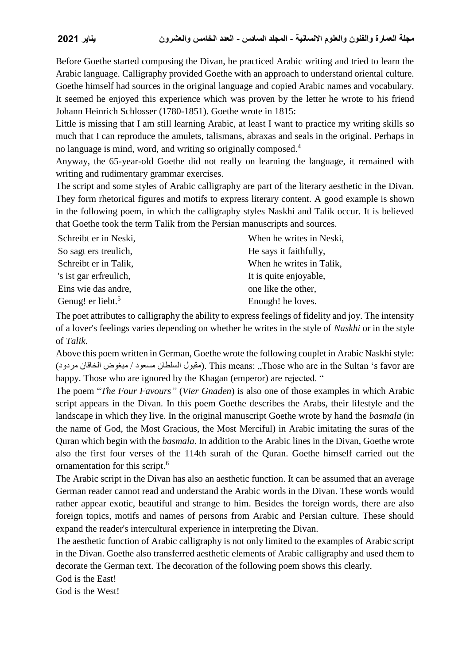Before Goethe started composing the Divan, he practiced Arabic writing and tried to learn the Arabic language. Calligraphy provided Goethe with an approach to understand oriental culture. Goethe himself had sources in the original language and copied Arabic names and vocabulary. It seemed he enjoyed this experience which was proven by the letter he wrote to his friend Johann Heinrich Schlosser (1780-1851). Goethe wrote in 1815:

Little is missing that I am still learning Arabic, at least I want to practice my writing skills so much that I can reproduce the amulets, talismans, abraxas and seals in the original. Perhaps in no language is mind, word, and writing so originally composed.<sup>4</sup>

Anyway, the 65-year-old Goethe did not really on learning the language, it remained with writing and rudimentary grammar exercises.

The script and some styles of Arabic calligraphy are part of the literary aesthetic in the Divan. They form rhetorical figures and motifs to express literary content. A good example is shown in the following poem, in which the calligraphy styles Naskhi and Talik occur. It is believed that Goethe took the term Talik from the Persian manuscripts and sources.

| Schreibt er in Neski,         | When he writes in Neski, |
|-------------------------------|--------------------------|
| So sagt ers treulich,         | He says it faithfully,   |
| Schreibt er in Talik,         | When he writes in Talik, |
| 's ist gar erfreulich,        | It is quite enjoyable,   |
| Eins wie das andre,           | one like the other,      |
| Genug! er liebt. <sup>5</sup> | Enough! he loves.        |

The poet attributes to calligraphy the ability to express feelings of fidelity and joy. The intensity of a lover's feelings varies depending on whether he writes in the style of *Naskhi* or in the style of *Talik*.

Above this poem written in German, Goethe wrote the following couplet in Arabic Naskhi style: (مقبول السلطان مسعود / مبغوض الخاقان مردود). This means: ,,Those who are in the Sultan 's favor are happy. Those who are ignored by the Khagan (emperor) are rejected. "

The poem "*The Four Favours"* (*Vier Gnaden*) is also one of those examples in which Arabic script appears in the Divan. In this poem Goethe describes the Arabs, their lifestyle and the landscape in which they live. In the original manuscript Goethe wrote by hand the *basmala* (in the name of God, the Most Gracious, the Most Merciful) in Arabic imitating the suras of the Quran which begin with the *basmala*. In addition to the Arabic lines in the Divan, Goethe wrote also the first four verses of the 114th surah of the Quran. Goethe himself carried out the ornamentation for this script.<sup>6</sup>

The Arabic script in the Divan has also an aesthetic function. It can be assumed that an average German reader cannot read and understand the Arabic words in the Divan. These words would rather appear exotic, beautiful and strange to him. Besides the foreign words, there are also foreign topics, motifs and names of persons from Arabic and Persian culture. These should expand the reader's intercultural experience in interpreting the Divan.

The aesthetic function of Arabic calligraphy is not only limited to the examples of Arabic script in the Divan. Goethe also transferred aesthetic elements of Arabic calligraphy and used them to decorate the German text. The decoration of the following poem shows this clearly.

God is the East!

God is the West!